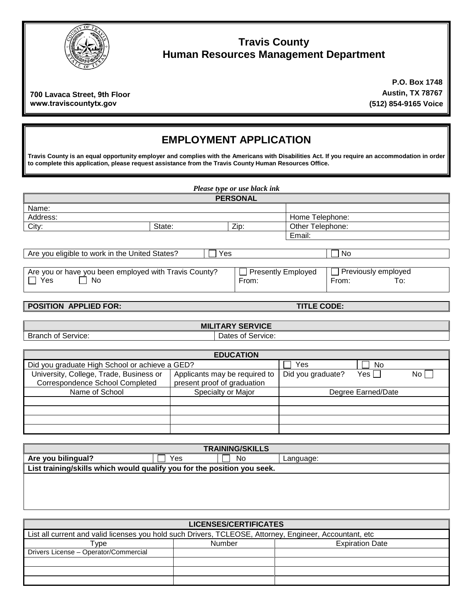

### **Travis County Human Resources Management Department**

**700 Lavaca Street, 9th Floor www.traviscountytx.gov**

**P.O. Box 1748 Austin, TX 78767 (512) 854-9165 Voice**

# **EMPLOYMENT APPLICATION**

**Travis County is an equal opportunity employer and complies with the Americans with Disabilities Act. If you require an accommodation in order to complete this application, please request assistance from the Travis County Human Resources Office.**

| Please type or use black ink                                                                                                                    |                |                 |                  |  |
|-------------------------------------------------------------------------------------------------------------------------------------------------|----------------|-----------------|------------------|--|
|                                                                                                                                                 |                | <b>PERSONAL</b> |                  |  |
| Name:                                                                                                                                           |                |                 |                  |  |
| Address:                                                                                                                                        |                |                 | Home Telephone:  |  |
| City:                                                                                                                                           | Zip:<br>State: |                 | Other Telephone: |  |
|                                                                                                                                                 |                |                 | Email:           |  |
|                                                                                                                                                 |                |                 |                  |  |
| Are you eligible to work in the United States?<br>Yes                                                                                           |                |                 | No               |  |
|                                                                                                                                                 |                |                 |                  |  |
| $\Box$ Previously employed<br>Are you or have you been employed with Travis County?<br>Presently Employed<br>Yes<br>No<br>From:<br>From:<br>To: |                |                 |                  |  |

#### **POSITION APPLIED FOR: TITLE CODE:**

Branch of Service: Dates of Service:

**MILITARY SERVICE**

| <b>EDUCATION</b>                               |                               |                   |                    |     |  |
|------------------------------------------------|-------------------------------|-------------------|--------------------|-----|--|
| Did you graduate High School or achieve a GED? |                               | Yes               | No.                |     |  |
| University, College, Trade, Business or        | Applicants may be required to | Did you graduate? | Yes                | No. |  |
| Correspondence School Completed                | present proof of graduation   |                   |                    |     |  |
| Name of School<br>Specialty or Major           |                               |                   | Degree Earned/Date |     |  |
|                                                |                               |                   |                    |     |  |
|                                                |                               |                   |                    |     |  |
|                                                |                               |                   |                    |     |  |
|                                                |                               |                   |                    |     |  |

| <b>TRAINING/SKILLS</b>                                                  |     |    |           |  |
|-------------------------------------------------------------------------|-----|----|-----------|--|
| Are you bilingual?                                                      | Yes | No | Language: |  |
| List training/skills which would qualify you for the position you seek. |     |    |           |  |
|                                                                         |     |    |           |  |
|                                                                         |     |    |           |  |

| <b>LICENSES/CERTIFICATES</b>                                                                            |  |  |  |
|---------------------------------------------------------------------------------------------------------|--|--|--|
| List all current and valid licenses you hold such Drivers, TCLEOSE, Attorney, Engineer, Accountant, etc |  |  |  |
| <b>Expiration Date</b><br>Number<br>$\mathsf{Type}$                                                     |  |  |  |
| Drivers License - Operator/Commercial                                                                   |  |  |  |
|                                                                                                         |  |  |  |
|                                                                                                         |  |  |  |
|                                                                                                         |  |  |  |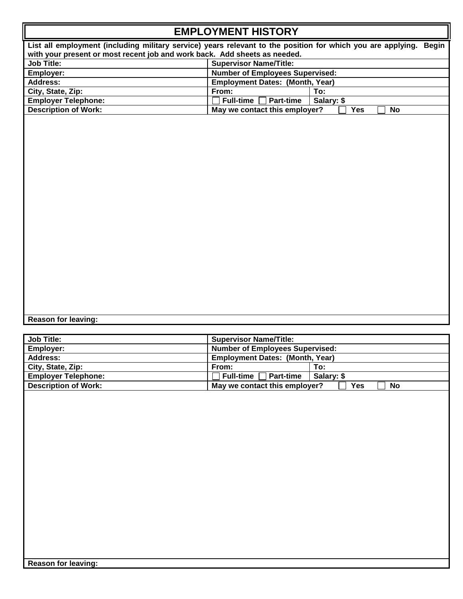## **EMPLOYMENT HISTORY**

**List all employment (including military service) years relevant to the position for which you are applying. Begin**  with your present or most recent job and work back. Add sheets as needed.<br>Job Title: **Supervisor Name/Title: Job Title:** Supervisor Name/Title:<br> **Supervisor Name/Title: Supervisor Name/Title: Supervisor Name/Title: Number of Employees Number of Employees Supervised: Address: Employment Dates: (Month, Year)** City, State, Zip: **From:** From: To: 70:<br>
Fig. To: 2011 Employer Telephone: To: 2012 To: 2014 To: 2014 To: 2014 To: 2014 To: 2014 To: 2014 To: 2014 To: 2014 To: 2014 To: 2014 To: 2014 To: 2014 To: 2014 To: 2014 To: 2014 To **Employer Telephone:**<br> **Full-time** Part-time<br> **Full-time** Part-time<br> **May we contact this emple** May we contact this employer?  $\Box$  Yes  $\Box$  No

**Reason for leaving:** 

| <b>Job Title:</b>           | <b>Supervisor Name/Title:</b>          |                         |
|-----------------------------|----------------------------------------|-------------------------|
| Employer:                   | <b>Number of Employees Supervised:</b> |                         |
| Address:                    | <b>Employment Dates: (Month, Year)</b> |                         |
| City, State, Zip:           | From:                                  | To:                     |
| <b>Employer Telephone:</b>  | Part-time<br>Full-time                 | Salarv: \$              |
| <b>Description of Work:</b> | May we contact this employer?          | <b>Yes</b><br><b>No</b> |
|                             |                                        |                         |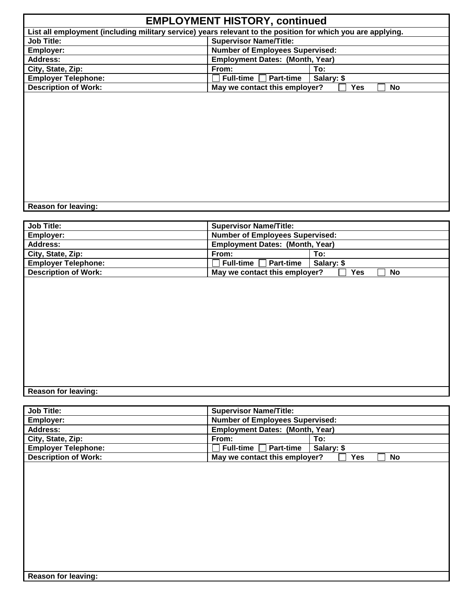|                                                                                                             | <b>EMPLOYMENT HISTORY, continued</b>   |                         |
|-------------------------------------------------------------------------------------------------------------|----------------------------------------|-------------------------|
| List all employment (including military service) years relevant to the position for which you are applying. |                                        |                         |
| <b>Job Title:</b>                                                                                           | <b>Supervisor Name/Title:</b>          |                         |
| Employer:                                                                                                   | <b>Number of Employees Supervised:</b> |                         |
| Address:                                                                                                    | <b>Employment Dates: (Month, Year)</b> |                         |
| City, State, Zip:                                                                                           | From:                                  | To:                     |
| <b>Employer Telephone:</b>                                                                                  | <b>Part-time</b><br>Full-time $ $      | Salary: \$              |
| <b>Description of Work:</b>                                                                                 | May we contact this employer?          | <b>Yes</b><br><b>No</b> |
|                                                                                                             |                                        |                         |
|                                                                                                             |                                        |                         |
|                                                                                                             |                                        |                         |
|                                                                                                             |                                        |                         |
|                                                                                                             |                                        |                         |
|                                                                                                             |                                        |                         |
|                                                                                                             |                                        |                         |
|                                                                                                             |                                        |                         |
|                                                                                                             |                                        |                         |
|                                                                                                             |                                        |                         |
|                                                                                                             |                                        |                         |
|                                                                                                             |                                        |                         |

**Reason for leaving:** 

| <b>Job Title:</b>           | <b>Supervisor Name/Title:</b>          |                  |
|-----------------------------|----------------------------------------|------------------|
| <b>Employer:</b>            | <b>Number of Employees Supervised:</b> |                  |
| Address:                    | <b>Employment Dates: (Month, Year)</b> |                  |
| City, State, Zip:           | From:                                  | To:              |
| <b>Emplover Telephone:</b>  | <b>Full-time I</b><br><b>Part-time</b> | Salary: \$       |
| <b>Description of Work:</b> | May we contact this employer?          | <b>No</b><br>Yes |

#### **Reason for leaving:**

| <b>Job Title:</b>           | <b>Supervisor Name/Title:</b>          |            |
|-----------------------------|----------------------------------------|------------|
| Employer:                   | <b>Number of Employees Supervised:</b> |            |
| Address:                    | <b>Employment Dates: (Month, Year)</b> |            |
| City, State, Zip:           | From:                                  | To:        |
| <b>Employer Telephone:</b>  | Full-time Part-time                    | Salary: \$ |
| <b>Description of Work:</b> | May we contact this employer?          | Yes<br>No  |
|                             |                                        |            |